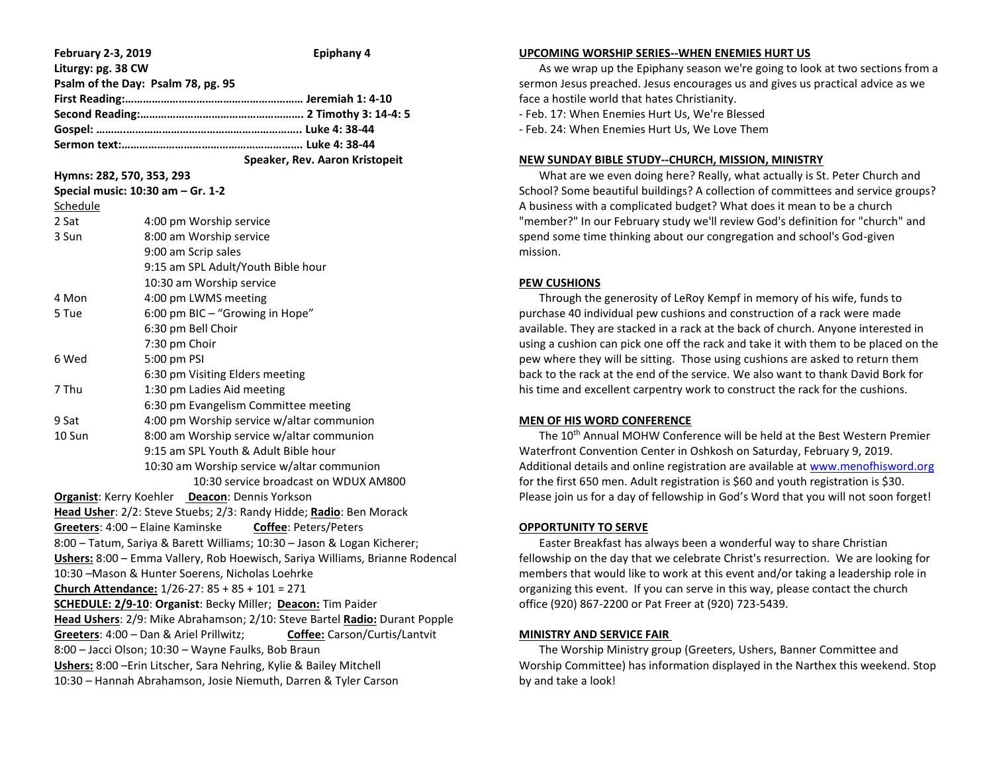| <b>February 2-3, 2019</b>                | <b>Epiphany 4</b>                                                            |  |  |
|------------------------------------------|------------------------------------------------------------------------------|--|--|
| Liturgy: pg. 38 CW                       |                                                                              |  |  |
|                                          | Psalm of the Day: Psalm 78, pg. 95                                           |  |  |
|                                          |                                                                              |  |  |
|                                          |                                                                              |  |  |
|                                          |                                                                              |  |  |
|                                          |                                                                              |  |  |
|                                          | Speaker, Rev. Aaron Kristopeit                                               |  |  |
| Hymns: 282, 570, 353, 293                |                                                                              |  |  |
|                                          | Special music: 10:30 am - Gr. 1-2                                            |  |  |
| Schedule                                 |                                                                              |  |  |
| 2 Sat                                    | 4:00 pm Worship service                                                      |  |  |
| 3 Sun                                    | 8:00 am Worship service                                                      |  |  |
|                                          | 9:00 am Scrip sales                                                          |  |  |
|                                          | 9:15 am SPL Adult/Youth Bible hour                                           |  |  |
|                                          | 10:30 am Worship service                                                     |  |  |
| 4 Mon                                    | 4:00 pm LWMS meeting                                                         |  |  |
| 6:00 pm BIC - "Growing in Hope"<br>5 Tue |                                                                              |  |  |
|                                          | 6:30 pm Bell Choir                                                           |  |  |
|                                          | 7:30 pm Choir                                                                |  |  |
| 6 Wed                                    | 5:00 pm PSI                                                                  |  |  |
|                                          | 6:30 pm Visiting Elders meeting                                              |  |  |
| 7 Thu<br>1:30 pm Ladies Aid meeting      |                                                                              |  |  |
|                                          | 6:30 pm Evangelism Committee meeting                                         |  |  |
| 9 Sat                                    | 4:00 pm Worship service w/altar communion                                    |  |  |
| 10 Sun                                   | 8:00 am Worship service w/altar communion                                    |  |  |
|                                          | 9:15 am SPL Youth & Adult Bible hour                                         |  |  |
|                                          | 10:30 am Worship service w/altar communion                                   |  |  |
|                                          | 10:30 service broadcast on WDUX AM800                                        |  |  |
|                                          | Organist: Kerry Koehler Deacon: Dennis Yorkson                               |  |  |
|                                          | Head Usher: 2/2: Steve Stuebs; 2/3: Randy Hidde; Radio: Ben Morack           |  |  |
|                                          | Coffee: Peters/Peters<br>Greeters: 4:00 - Elaine Kaminske                    |  |  |
|                                          | 8:00 - Tatum, Sariya & Barett Williams; 10:30 - Jason & Logan Kicherer;      |  |  |
|                                          | Ushers: 8:00 - Emma Vallery, Rob Hoewisch, Sariya Williams, Brianne Rodencal |  |  |
|                                          | 10:30 -Mason & Hunter Soerens, Nicholas Loehrke                              |  |  |
|                                          | Church Attendance: 1/26-27: 85 + 85 + 101 = 271                              |  |  |
|                                          | SCHEDULE: 2/9-10: Organist: Becky Miller; Deacon: Tim Paider                 |  |  |
|                                          | Head Ushers: 2/9: Mike Abrahamson; 2/10: Steve Bartel Radio: Durant Popple   |  |  |
|                                          | Greeters: 4:00 - Dan & Ariel Prillwitz;<br>Coffee: Carson/Curtis/Lantvit     |  |  |
|                                          | 8:00 - Jacci Olson; 10:30 - Wayne Faulks, Bob Braun                          |  |  |
|                                          | Ushers: 8:00 - Erin Litscher, Sara Nehring, Kylie & Bailey Mitchell          |  |  |
|                                          | 10:30 - Hannah Abrahamson, Josie Niemuth, Darren & Tyler Carson              |  |  |

#### **UPCOMING WORSHIP SERIES--WHEN ENEMIES HURT US**

 As we wrap up the Epiphany season we're going to look at two sections from a sermon Jesus preached. Jesus encourages us and gives us practical advice as we face a hostile world that hates Christianity.

- Feb. 17: When Enemies Hurt Us, We're Blessed

- Feb. 24: When Enemies Hurt Us, We Love Them

### **NEW SUNDAY BIBLE STUDY--CHURCH, MISSION, MINISTRY**

 What are we even doing here? Really, what actually is St. Peter Church and School? Some beautiful buildings? A collection of committees and service groups? A business with a complicated budget? What does it mean to be a church "member?" In our February study we'll review God's definition for "church" and spend some time thinking about our congregation and school's God-given mission.

### **PEW CUSHIONS**

Through the generosity of LeRoy Kempf in memory of his wife, funds to purchase 40 individual pew cushions and construction of a rack were made available. They are stacked in a rack at the back of church. Anyone interested in using a cushion can pick one off the rack and take it with them to be placed on the pew where they will be sitting. Those using cushions are asked to return them back to the rack at the end of the service. We also want to thank David Bork for his time and excellent carpentry work to construct the rack for the cushions.

### **MEN OF HIS WORD CONFERENCE**

The 10<sup>th</sup> Annual MOHW Conference will be held at the Best Western Premier Waterfront Convention Center in Oshkosh on Saturday, February 9, 2019. Additional details and online registration are available at [www.menofhisword.org](http://www.menofhisword.org/) for the first 650 men. Adult registration is \$60 and youth registration is \$30. Please join us for a day of fellowship in God's Word that you will not soon forget!

#### **OPPORTUNITY TO SERVE**

 Easter Breakfast has always been a wonderful way to share Christian fellowship on the day that we celebrate Christ's resurrection. We are looking for members that would like to work at this event and/or taking a leadership role in organizing this event. If you can serve in this way, please contact the church office (920) 867-2200 or Pat Freer at (920) 723-5439.

#### **MINISTRY AND SERVICE FAIR**

 The Worship Ministry group (Greeters, Ushers, Banner Committee and Worship Committee) has information displayed in the Narthex this weekend. Stop by and take a look!